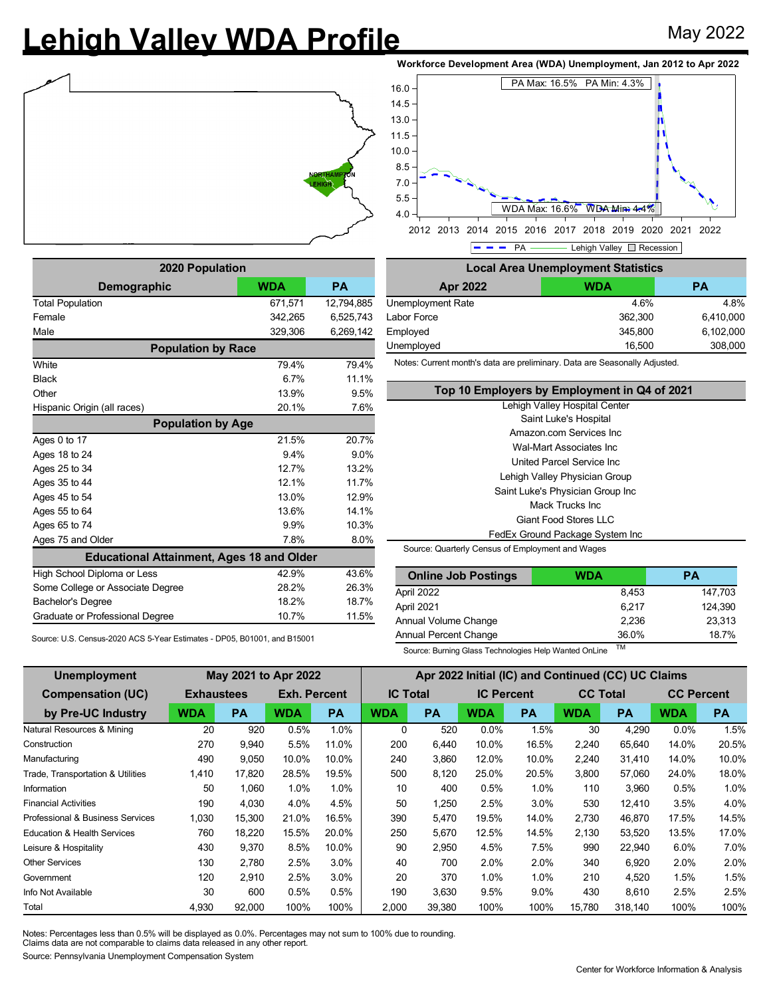## Lehigh Valley WDA Profile May 2022







| 2020 Population                                  |            |            |  |  |  |  |  |  |  |
|--------------------------------------------------|------------|------------|--|--|--|--|--|--|--|
| <b>Demographic</b>                               | <b>WDA</b> | <b>PA</b>  |  |  |  |  |  |  |  |
| <b>Total Population</b>                          | 671,571    | 12,794,885 |  |  |  |  |  |  |  |
| Female                                           | 342,265    | 6,525,743  |  |  |  |  |  |  |  |
| Male                                             | 329,306    | 6,269,142  |  |  |  |  |  |  |  |
| <b>Population by Race</b>                        |            |            |  |  |  |  |  |  |  |
| White                                            | 79.4%      | 79.4%      |  |  |  |  |  |  |  |
| <b>Black</b>                                     | 6.7%       | 11.1%      |  |  |  |  |  |  |  |
| Other                                            | 13.9%      | 9.5%       |  |  |  |  |  |  |  |
| Hispanic Origin (all races)                      | 20.1%      | 7.6%       |  |  |  |  |  |  |  |
| <b>Population by Age</b>                         |            |            |  |  |  |  |  |  |  |
| Ages 0 to 17                                     | 21.5%      | 20.7%      |  |  |  |  |  |  |  |
| Ages 18 to 24                                    | 9.4%       | 9.0%       |  |  |  |  |  |  |  |
| Ages 25 to 34                                    | 12.7%      | 13.2%      |  |  |  |  |  |  |  |
| Ages 35 to 44                                    | 12.1%      | 11.7%      |  |  |  |  |  |  |  |
| Ages 45 to 54                                    | 13.0%      | 12.9%      |  |  |  |  |  |  |  |
| Ages 55 to 64                                    | 13.6%      | 14.1%      |  |  |  |  |  |  |  |
| Ages 65 to 74                                    | 9.9%       | 10.3%      |  |  |  |  |  |  |  |
| Ages 75 and Older                                | 7.8%       | 8.0%       |  |  |  |  |  |  |  |
| <b>Educational Attainment, Ages 18 and Older</b> |            |            |  |  |  |  |  |  |  |
| High School Diploma or Less                      | 42.9%      | 43.6%      |  |  |  |  |  |  |  |
| Some College or Associate Degree                 | 28.2%      | 26.3%      |  |  |  |  |  |  |  |
| Bachelor's Degree                                | 18.2%      | 18.7%      |  |  |  |  |  |  |  |
| Graduate or Professional Degree                  | 10.7%      | 11.5%      |  |  |  |  |  |  |  |

 $P - P$ A Lehigh Valley Recession **Local Area Unemployment Statistics Apr 2022 WDA PA** Unemployment Rate 4.6% 4.8% Labor Force 362,300 6,410,000 Employed 6,102,000 6,102,000 Unemployed 16,500 308,000

Notes: Current month's data are preliminary. Data are Seasonally Adjusted.

| Top 10 Employers by Employment in Q4 of 2021     |
|--------------------------------------------------|
| Lehigh Valley Hospital Center                    |
| Saint Luke's Hospital                            |
| Amazon.com Services Inc.                         |
| Wal-Mart Associates Inc                          |
| United Parcel Service Inc.                       |
| Lehigh Valley Physician Group                    |
| Saint Luke's Physician Group Inc                 |
| Mack Trucks Inc                                  |
| Giant Food Stores LLC                            |
| FedEx Ground Package System Inc                  |
| Source: Quarterly Census of Employment and Wages |

| <b>Online Job Postings</b> | WDA   | PА      |  |  |
|----------------------------|-------|---------|--|--|
| April 2022                 | 8.453 | 147.703 |  |  |
| April 2021                 | 6.217 | 124.390 |  |  |
| Annual Volume Change       | 2.236 | 23.313  |  |  |

Annual Percent Change 36.0% 18.7%

Source: U.S. Census-2020 ACS 5-Year Estimates - DP05, B01001, and B15001

Source: Burning Glass Technologies Help Wanted OnLine TM

| Unemployment                           | Apr 2022 Initial (IC) and Continued (CC) UC Claims |        |                     |           |                 |           |                   |           |                 |           |                   |           |
|----------------------------------------|----------------------------------------------------|--------|---------------------|-----------|-----------------|-----------|-------------------|-----------|-----------------|-----------|-------------------|-----------|
| <b>Compensation (UC)</b>               | <b>Exhaustees</b>                                  |        | <b>Exh. Percent</b> |           | <b>IC Total</b> |           | <b>IC Percent</b> |           | <b>CC Total</b> |           | <b>CC Percent</b> |           |
| by Pre-UC Industry                     | <b>WDA</b>                                         | РA     | <b>WDA</b>          | <b>PA</b> | <b>WDA</b>      | <b>PA</b> | <b>WDA</b>        | <b>PA</b> | <b>WDA</b>      | <b>PA</b> | <b>WDA</b>        | <b>PA</b> |
| Natural Resources & Mining             | 20                                                 | 920    | 0.5%                | 1.0%      | 0               | 520       | $0.0\%$           | 1.5%      | 30              | 4.290     | $0.0\%$           | 1.5%      |
| Construction                           | 270                                                | 9,940  | 5.5%                | 11.0%     | 200             | 6,440     | 10.0%             | 16.5%     | 2,240           | 65,640    | 14.0%             | 20.5%     |
| Manufacturing                          | 490                                                | 9,050  | 10.0%               | 10.0%     | 240             | 3,860     | 12.0%             | 10.0%     | 2,240           | 31,410    | 14.0%             | 10.0%     |
| Trade, Transportation & Utilities      | 1,410                                              | 17,820 | 28.5%               | 19.5%     | 500             | 8,120     | 25.0%             | 20.5%     | 3,800           | 57,060    | 24.0%             | 18.0%     |
| Information                            | 50                                                 | 1.060  | 1.0%                | 1.0%      | 10              | 400       | 0.5%              | 1.0%      | 110             | 3,960     | 0.5%              | 1.0%      |
| <b>Financial Activities</b>            | 190                                                | 4.030  | 4.0%                | 4.5%      | 50              | 1,250     | 2.5%              | $3.0\%$   | 530             | 12,410    | 3.5%              | 4.0%      |
| Professional & Business Services       | 1,030                                              | 15,300 | 21.0%               | 16.5%     | 390             | 5,470     | 19.5%             | 14.0%     | 2,730           | 46,870    | 17.5%             | 14.5%     |
| <b>Education &amp; Health Services</b> | 760                                                | 18,220 | 15.5%               | 20.0%     | 250             | 5,670     | 12.5%             | 14.5%     | 2,130           | 53,520    | 13.5%             | 17.0%     |
| Leisure & Hospitality                  | 430                                                | 9,370  | 8.5%                | 10.0%     | 90              | 2,950     | 4.5%              | 7.5%      | 990             | 22,940    | 6.0%              | 7.0%      |
| <b>Other Services</b>                  | 130                                                | 2.780  | 2.5%                | 3.0%      | 40              | 700       | 2.0%              | 2.0%      | 340             | 6.920     | 2.0%              | 2.0%      |
| Government                             | 120                                                | 2,910  | 2.5%                | 3.0%      | 20              | 370       | 1.0%              | 1.0%      | 210             | 4,520     | 1.5%              | 1.5%      |
| Info Not Available                     | 30                                                 | 600    | 0.5%                | 0.5%      | 190             | 3,630     | 9.5%              | $9.0\%$   | 430             | 8,610     | 2.5%              | 2.5%      |
| Total                                  | 4,930                                              | 92,000 | 100%                | 100%      | 2,000           | 39,380    | 100%              | 100%      | 15,780          | 318,140   | 100%              | 100%      |

Notes: Percentages less than 0.5% will be displayed as 0.0%. Percentages may not sum to 100% due to rounding.

Claims data are not comparable to claims data released in any other report.

Source: Pennsylvania Unemployment Compensation System